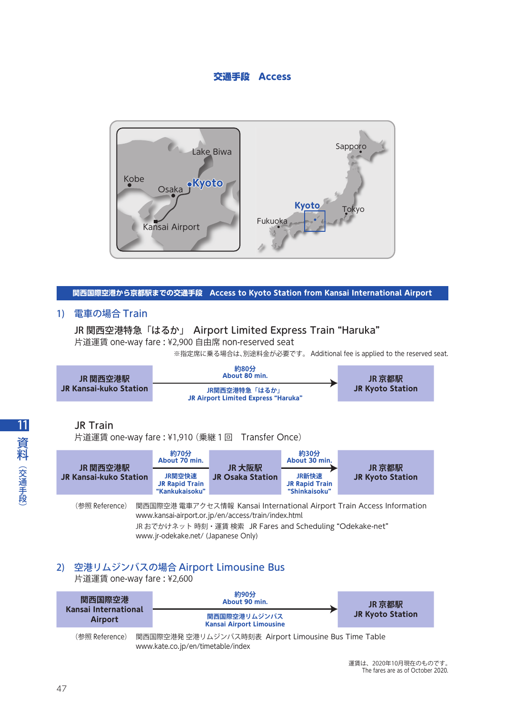# 交通手段 Access



## **関西国際空港から京都駅までの交通手段 Access to Kyoto Station from Kansai International Airport**

# 1) 電車の場合 Train

## JR 関西空港特急「はるか」 Airport Limited Express Train "Haruka"

片道運賃 one-way fare : ¥2,900 自由席 non-reserved seat

※指定席に乗る場合は、別途料金が必要です。 Additional fee is applied to the reserved seat.